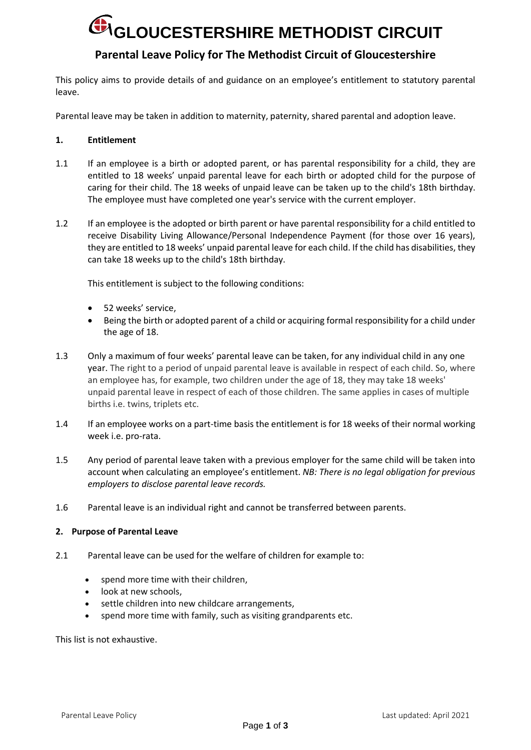## **G**IGLOUCESTERSHIRE METHODIST CIRCUIT

### **Parental Leave Policy for The Methodist Circuit of Gloucestershire**

This policy aims to provide details of and guidance on an employee's entitlement to statutory parental leave.

Parental leave may be taken in addition to maternity, paternity, shared parental and adoption leave.

#### **1. Entitlement**

- 1.1 If an employee is a birth or adopted parent, or has parental responsibility for a child, they are entitled to 18 weeks' unpaid parental leave for each birth or adopted child for the purpose of caring for their child. The 18 weeks of unpaid leave can be taken up to the child's 18th birthday. The employee must have completed one year's service with the current employer.
- 1.2 If an employee is the adopted or birth parent or have parental responsibility for a child entitled to receive Disability Living Allowance/Personal Independence Payment (for those over 16 years), they are entitled to 18 weeks' unpaid parental leave for each child. If the child has disabilities, they can take 18 weeks up to the child's 18th birthday.

This entitlement is subject to the following conditions:

- 52 weeks' service,
- Being the birth or adopted parent of a child or acquiring formal responsibility for a child under the age of 18.
- 1.3 Only a maximum of four weeks' parental leave can be taken, for any individual child in any one year. The right to a period of unpaid parental leave is available in respect of each child. So, where an employee has, for example, two children under the age of 18, they may take 18 weeks' unpaid parental leave in respect of each of those children. The same applies in cases of multiple births i.e. twins, triplets etc.
- 1.4 If an employee works on a part-time basis the entitlement is for 18 weeks of their normal working week i.e. pro-rata.
- 1.5 Any period of parental leave taken with a previous employer for the same child will be taken into account when calculating an employee's entitlement. *NB: There is no legal obligation for previous employers to disclose parental leave records.*
- 1.6 Parental leave is an individual right and cannot be transferred between parents.

#### **2. Purpose of Parental Leave**

- 2.1 Parental leave can be used for the welfare of children for example to:
	- spend more time with their children,
	- look at new schools,
	- settle children into new childcare arrangements,
	- spend more time with family, such as visiting grandparents etc.

This list is not exhaustive.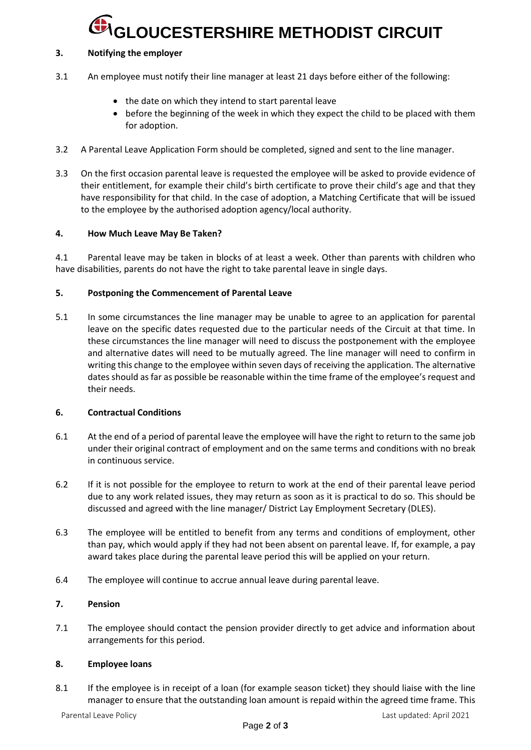### **GLOUCESTERSHIRE METHODIST CIRCUIT**

#### **3. Notifying the employer**

- 3.1 An employee must notify their line manager at least 21 days before either of the following:
	- the date on which they intend to start parental leave
	- before the beginning of the week in which they expect the child to be placed with them for adoption.
- 3.2 A Parental Leave Application Form should be completed, signed and sent to the line manager.
- 3.3 On the first occasion parental leave is requested the employee will be asked to provide evidence of their entitlement, for example their child's birth certificate to prove their child's age and that they have responsibility for that child. In the case of adoption, a Matching Certificate that will be issued to the employee by the authorised adoption agency/local authority.

#### **4. How Much Leave May Be Taken?**

4.1 Parental leave may be taken in blocks of at least a week. Other than parents with children who have disabilities, parents do not have the right to take parental leave in single days.

#### **5. Postponing the Commencement of Parental Leave**

5.1 In some circumstances the line manager may be unable to agree to an application for parental leave on the specific dates requested due to the particular needs of the Circuit at that time. In these circumstances the line manager will need to discuss the postponement with the employee and alternative dates will need to be mutually agreed. The line manager will need to confirm in writing this change to the employee within seven days of receiving the application. The alternative dates should as far as possible be reasonable within the time frame of the employee's request and their needs.

#### **6. Contractual Conditions**

- 6.1 At the end of a period of parental leave the employee will have the right to return to the same job under their original contract of employment and on the same terms and conditions with no break in continuous service.
- 6.2 If it is not possible for the employee to return to work at the end of their parental leave period due to any work related issues, they may return as soon as it is practical to do so. This should be discussed and agreed with the line manager/ District Lay Employment Secretary (DLES).
- 6.3 The employee will be entitled to benefit from any terms and conditions of employment, other than pay, which would apply if they had not been absent on parental leave. If, for example, a pay award takes place during the parental leave period this will be applied on your return.
- 6.4 The employee will continue to accrue annual leave during parental leave.

#### **7. Pension**

7.1 The employee should contact the pension provider directly to get advice and information about arrangements for this period.

#### **8. Employee loans**

8.1 If the employee is in receipt of a loan (for example season ticket) they should liaise with the line manager to ensure that the outstanding loan amount is repaid within the agreed time frame. This